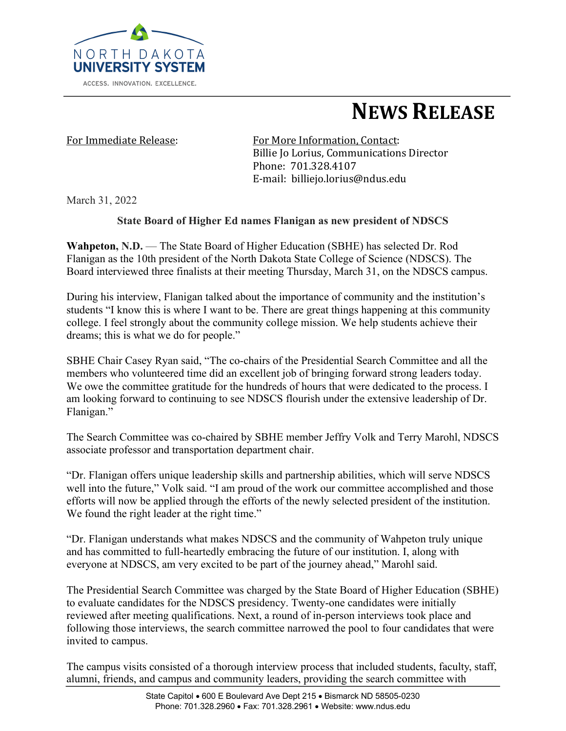

# **NEWS RELEASE**

For Immediate Release: For More Information, Contact: Billie Io Lorius, Communications Director Phone: 701.328.4107 E-mail: billiejo.lorius@ndus.edu

March 31, 2022

## **State Board of Higher Ed names Flanigan as new president of NDSCS**

**Wahpeton, N.D.** — The State Board of Higher Education (SBHE) has selected Dr. Rod Flanigan as the 10th president of the North Dakota State College of Science (NDSCS). The Board interviewed three finalists at their meeting Thursday, March 31, on the NDSCS campus.

During his interview, Flanigan talked about the importance of community and the institution's students "I know this is where I want to be. There are great things happening at this community college. I feel strongly about the community college mission. We help students achieve their dreams; this is what we do for people."

SBHE Chair Casey Ryan said, "The co-chairs of the Presidential Search Committee and all the members who volunteered time did an excellent job of bringing forward strong leaders today. We owe the committee gratitude for the hundreds of hours that were dedicated to the process. I am looking forward to continuing to see NDSCS flourish under the extensive leadership of Dr. Flanigan."

The Search Committee was co-chaired by SBHE member Jeffry Volk and Terry Marohl, NDSCS associate professor and transportation department chair.

"Dr. Flanigan offers unique leadership skills and partnership abilities, which will serve NDSCS well into the future," Volk said. "I am proud of the work our committee accomplished and those efforts will now be applied through the efforts of the newly selected president of the institution. We found the right leader at the right time."

"Dr. Flanigan understands what makes NDSCS and the community of Wahpeton truly unique and has committed to full-heartedly embracing the future of our institution. I, along with everyone at NDSCS, am very excited to be part of the journey ahead," Marohl said.

The Presidential Search Committee was charged by the State Board of Higher Education (SBHE) to evaluate candidates for the NDSCS presidency. Twenty-one candidates were initially reviewed after meeting qualifications. Next, a round of in-person interviews took place and following those interviews, the search committee narrowed the pool to four candidates that were invited to campus.

The campus visits consisted of a thorough interview process that included students, faculty, staff, alumni, friends, and campus and community leaders, providing the search committee with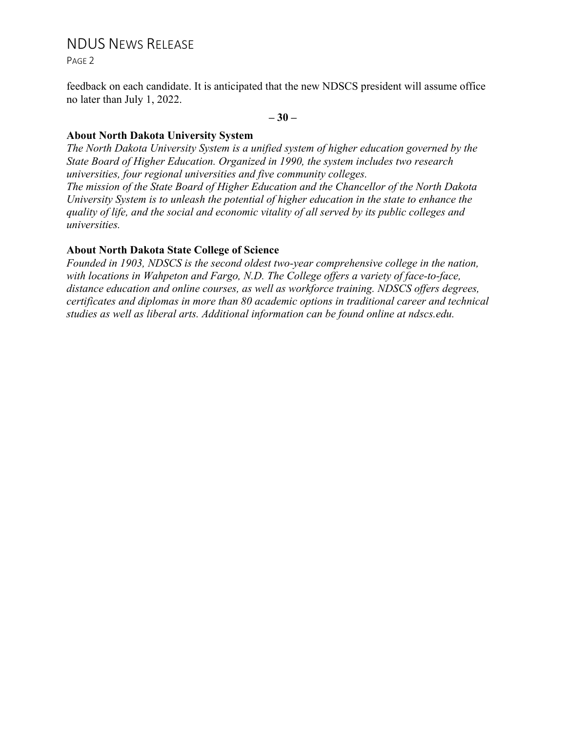## NDUS NEWS RELEASE

PAGE 2

*universities.*

feedback on each candidate. It is anticipated that the new NDSCS president will assume office no later than July 1, 2022.

**– 30 –**

#### **About North Dakota University System**

*The North Dakota University System is a unified system of higher education governed by the State Board of Higher Education. Organized in 1990, the system includes two research universities, four regional universities and five community colleges. The mission of the State Board of Higher Education and the Chancellor of the North Dakota University System is to unleash the potential of higher education in the state to enhance the quality of life, and the social and economic vitality of all served by its public colleges and* 

### **About North Dakota State College of Science**

*Founded in 1903, NDSCS is the second oldest two-year comprehensive college in the nation, with locations in Wahpeton and Fargo, N.D. The College offers a variety of face-to-face, distance education and online courses, as well as workforce training. NDSCS offers degrees, certificates and diplomas in more than 80 academic options in traditional career and technical studies as well as liberal arts. Additional information can be found online at ndscs.edu.*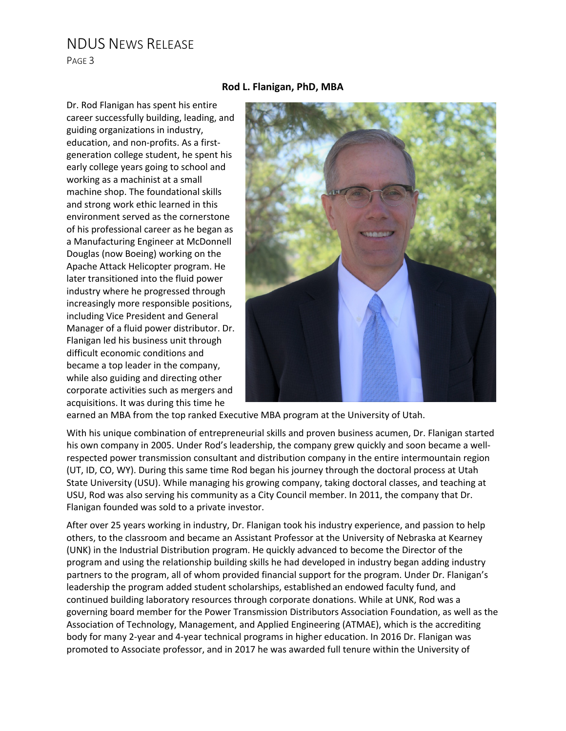## NDUS NEWS RELEASE

PAGE 3

#### **Rod L. Flanigan, PhD, MBA**

Dr. Rod Flanigan has spent his entire career successfully building, leading, and guiding organizations in industry, education, and non-profits. As a firstgeneration college student, he spent his early college years going to school and working as a machinist at a small machine shop. The foundational skills and strong work ethic learned in this environment served as the cornerstone of his professional career as he began as a Manufacturing Engineer at McDonnell Douglas (now Boeing) working on the Apache Attack Helicopter program. He later transitioned into the fluid power industry where he progressed through increasingly more responsible positions, including Vice President and General Manager of a fluid power distributor. Dr. Flanigan led his business unit through difficult economic conditions and became a top leader in the company, while also guiding and directing other corporate activities such as mergers and acquisitions. It was during this time he



earned an MBA from the top ranked Executive MBA program at the University of Utah.

With his unique combination of entrepreneurial skills and proven business acumen, Dr. Flanigan started his own company in 2005. Under Rod's leadership, the company grew quickly and soon became a wellrespected power transmission consultant and distribution company in the entire intermountain region (UT, ID, CO, WY). During this same time Rod began his journey through the doctoral process at Utah State University (USU). While managing his growing company, taking doctoral classes, and teaching at USU, Rod was also serving his community as a City Council member. In 2011, the company that Dr. Flanigan founded was sold to a private investor.

After over 25 years working in industry, Dr. Flanigan took his industry experience, and passion to help others, to the classroom and became an Assistant Professor at the University of Nebraska at Kearney (UNK) in the Industrial Distribution program. He quickly advanced to become the Director of the program and using the relationship building skills he had developed in industry began adding industry partners to the program, all of whom provided financial support for the program. Under Dr. Flanigan's leadership the program added student scholarships, established an endowed faculty fund, and continued building laboratory resources through corporate donations. While at UNK, Rod was a governing board member for the Power Transmission Distributors Association Foundation, as well as the Association of Technology, Management, and Applied Engineering (ATMAE), which is the accrediting body for many 2-year and 4-year technical programs in higher education. In 2016 Dr. Flanigan was promoted to Associate professor, and in 2017 he was awarded full tenure within the University of